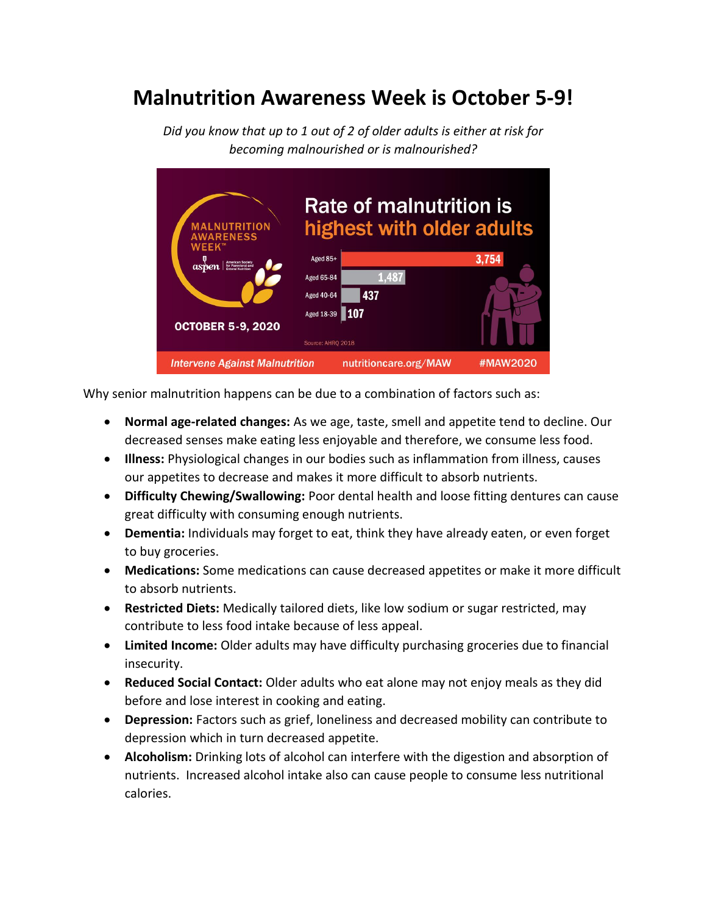## **Malnutrition Awareness Week is October 5-9!**



*Did you know that up to 1 out of 2 of older adults is either at risk for becoming malnourished or is malnourished?*

Why senior malnutrition happens can be due to a combination of factors such as:

- **Normal age-related changes:** As we age, taste, smell and appetite tend to decline. Our decreased senses make eating less enjoyable and therefore, we consume less food.
- **Illness:** Physiological changes in our bodies such as inflammation from illness, causes our appetites to decrease and makes it more difficult to absorb nutrients.
- **Difficulty Chewing/Swallowing:** Poor dental health and loose fitting dentures can cause great difficulty with consuming enough nutrients.
- **Dementia:** Individuals may forget to eat, think they have already eaten, or even forget to buy groceries.
- **Medications:** Some medications can cause decreased appetites or make it more difficult to absorb nutrients.
- **Restricted Diets:** Medically tailored diets, like low sodium or sugar restricted, may contribute to less food intake because of less appeal.
- **Limited Income:** Older adults may have difficulty purchasing groceries due to financial insecurity.
- **Reduced Social Contact:** Older adults who eat alone may not enjoy meals as they did before and lose interest in cooking and eating.
- **Depression:** Factors such as grief, loneliness and decreased mobility can contribute to depression which in turn decreased appetite.
- **Alcoholism:** Drinking lots of alcohol can interfere with the digestion and absorption of nutrients. Increased alcohol intake also can cause people to consume less nutritional calories.